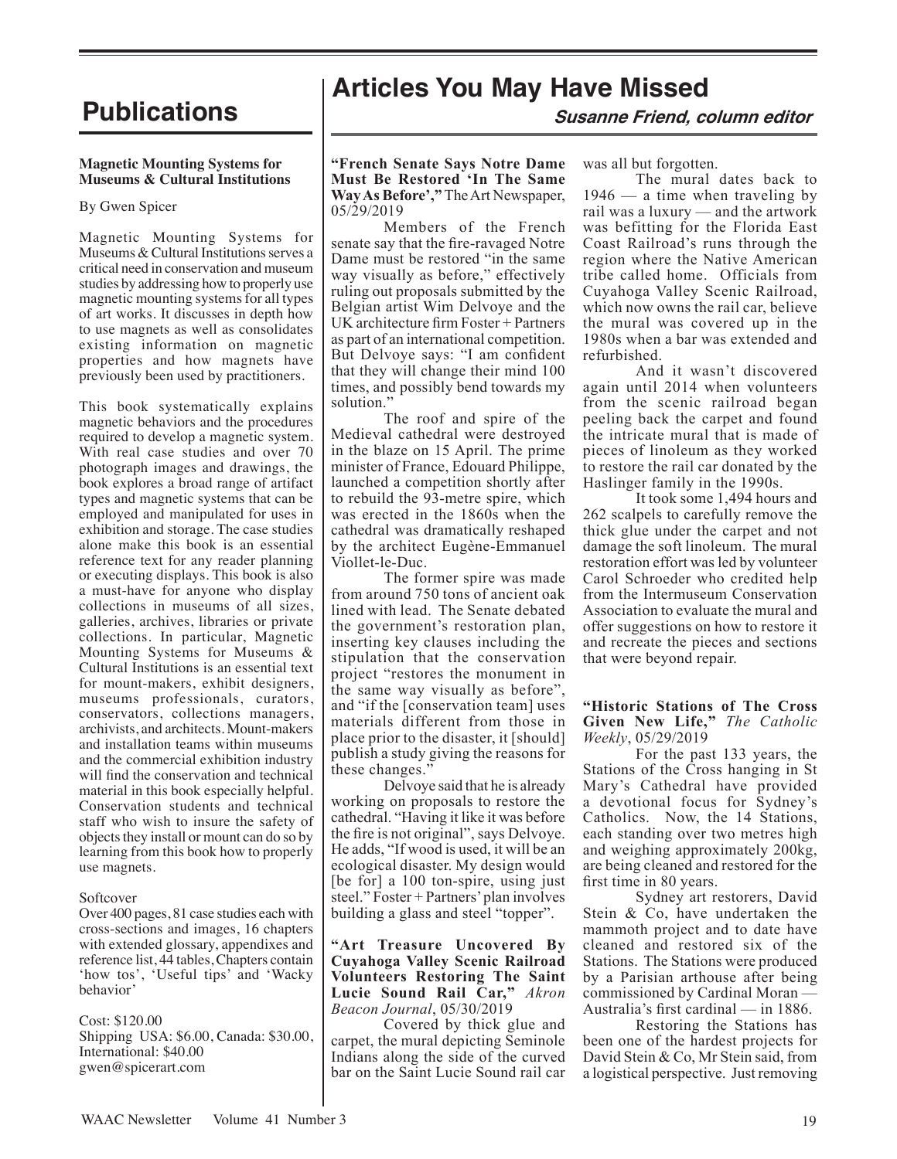#### **Magnetic Mounting Systems for Museums & Cultural Institutions**

#### By Gwen Spicer

Magnetic Mounting Systems for Museums & Cultural Institutions serves a critical need in conservation and museum studies by addressing how to properly use magnetic mounting systems for all types of art works. It discusses in depth how to use magnets as well as consolidates existing information on magnetic properties and how magnets have previously been used by practitioners.

This book systematically explains magnetic behaviors and the procedures required to develop a magnetic system. With real case studies and over 70 photograph images and drawings, the book explores a broad range of artifact types and magnetic systems that can be employed and manipulated for uses in exhibition and storage. The case studies alone make this book is an essential reference text for any reader planning or executing displays. This book is also a must-have for anyone who display collections in museums of all sizes, galleries, archives, libraries or private collections. In particular, Magnetic Mounting Systems for Museums & Cultural Institutions is an essential text for mount-makers, exhibit designers, museums professionals, curators, conservators, collections managers, archivists, and architects. Mount-makers and installation teams within museums and the commercial exhibition industry will find the conservation and technical material in this book especially helpful. Conservation students and technical staff who wish to insure the safety of objects they install or mount can do so by learning from this book how to properly use magnets.

#### Softcover

Over 400 pages, 81 case studies each with cross-sections and images, 16 chapters with extended glossary, appendixes and reference list, 44 tables, Chapters contain 'how tos', 'Useful tips' and 'Wacky behavior'

#### Cost: \$120.00

Shipping USA: \$6.00, Canada: \$30.00, International: \$40.00 gwen@spicerart.com

# **Publications Articles You May Have Missed**

**Susanne Friend, column editor**

#### **"French Senate Says Notre Dame Must Be Restored 'In The Same Way As Before',"** The Art Newspaper, 05/29/2019

Members of the French senate say that the fire-ravaged Notre Dame must be restored "in the same way visually as before," effectively ruling out proposals submitted by the Belgian artist Wim Delvoye and the UK architecture firm Foster + Partners as part of an international competition. But Delvoye says: "I am confident that they will change their mind 100 times, and possibly bend towards my solution.'

The roof and spire of the Medieval cathedral were destroyed in the blaze on 15 April. The prime minister of France, Edouard Philippe, launched a competition shortly after to rebuild the 93-metre spire, which was erected in the 1860s when the cathedral was dramatically reshaped by the architect Eugène-Emmanuel Viollet-le-Duc.

The former spire was made from around 750 tons of ancient oak lined with lead. The Senate debated the government's restoration plan, inserting key clauses including the stipulation that the conservation project "restores the monument in the same way visually as before", and "if the [conservation team] uses materials different from those in place prior to the disaster, it [should] publish a study giving the reasons for these changes."

Delvoye said that he is already working on proposals to restore the cathedral. "Having it like it was before the fire is not original", says Delvoye. He adds, "If wood is used, it will be an ecological disaster. My design would [be for] a 100 ton-spire, using just steel." Foster + Partners' plan involves building a glass and steel "topper".

#### **"Art Treasure Uncovered By Cuyahoga Valley Scenic Railroad Volunteers Restoring The Saint Lucie Sound Rail Car,"** *Akron Beacon Journal*, 05/30/2019

Covered by thick glue and carpet, the mural depicting Seminole Indians along the side of the curved bar on the Saint Lucie Sound rail car was all but forgotten.

The mural dates back to  $1946$  — a time when traveling by rail was a luxury — and the artwork was befitting for the Florida East Coast Railroad's runs through the region where the Native American tribe called home. Officials from Cuyahoga Valley Scenic Railroad, which now owns the rail car, believe the mural was covered up in the 1980s when a bar was extended and refurbished.

And it wasn't discovered again until 2014 when volunteers from the scenic railroad began peeling back the carpet and found the intricate mural that is made of pieces of linoleum as they worked to restore the rail car donated by the Haslinger family in the 1990s.

It took some 1,494 hours and 262 scalpels to carefully remove the thick glue under the carpet and not damage the soft linoleum. The mural restoration effort was led by volunteer Carol Schroeder who credited help from the Intermuseum Conservation Association to evaluate the mural and offer suggestions on how to restore it and recreate the pieces and sections that were beyond repair.

#### **"Historic Stations of The Cross Given New Life,"** *The Catholic Weekly*, 05/29/2019

For the past 133 years, the Stations of the Cross hanging in St Mary's Cathedral have provided a devotional focus for Sydney's Catholics. Now, the 14 Stations, each standing over two metres high and weighing approximately 200kg, are being cleaned and restored for the first time in 80 years.

Sydney art restorers, David Stein & Co, have undertaken the mammoth project and to date have cleaned and restored six of the Stations. The Stations were produced by a Parisian arthouse after being commissioned by Cardinal Moran — Australia's first cardinal — in 1886.

Restoring the Stations has been one of the hardest projects for David Stein & Co, Mr Stein said, from a logistical perspective. Just removing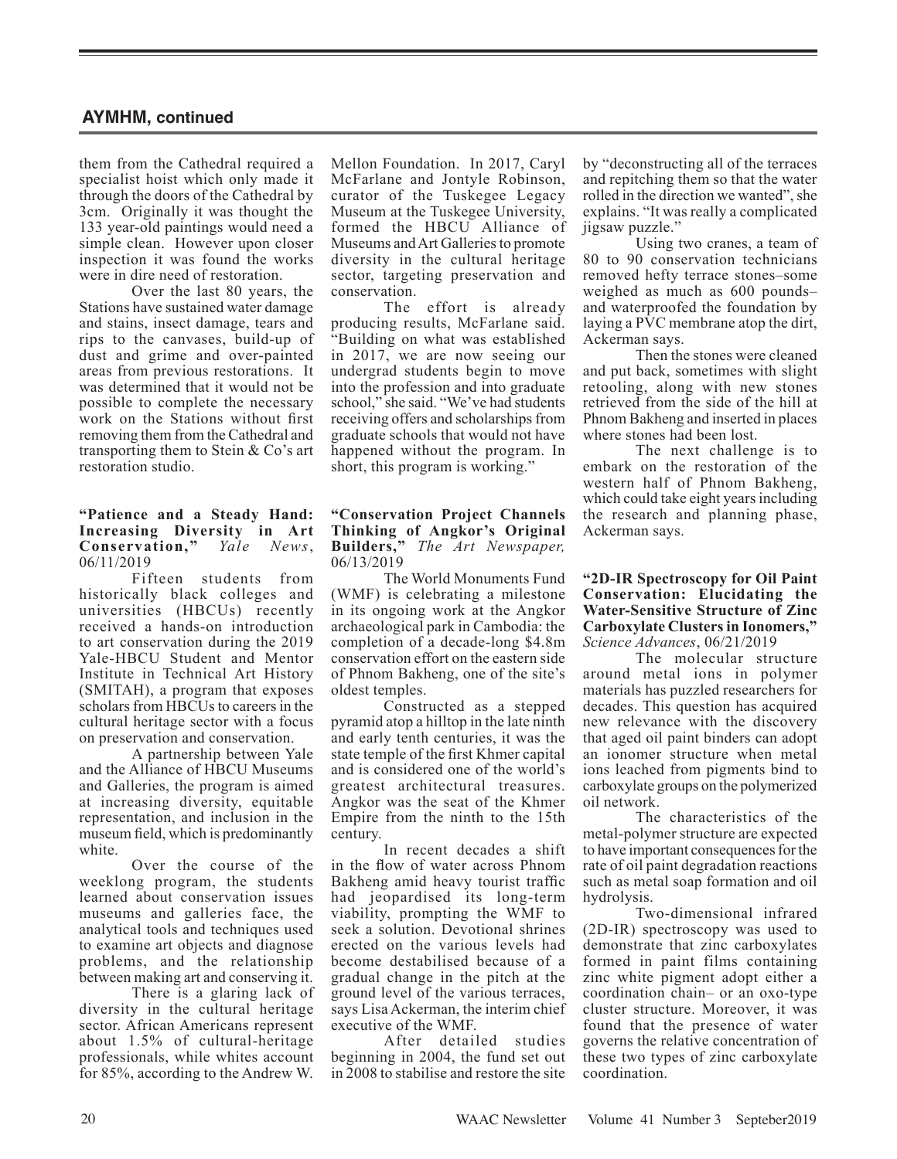them from the Cathedral required a specialist hoist which only made it through the doors of the Cathedral by 3cm. Originally it was thought the 133 year-old paintings would need a simple clean. However upon closer inspection it was found the works were in dire need of restoration.

Over the last 80 years, the Stations have sustained water damage and stains, insect damage, tears and rips to the canvases, build-up of dust and grime and over-painted areas from previous restorations. It was determined that it would not be possible to complete the necessary work on the Stations without first removing them from the Cathedral and transporting them to Stein & Co's art restoration studio.

### **"Patience and a Steady Hand: Increasing Diversity in Art Conservation,"** *Yale News*, 06/11/2019

Fifteen students from historically black colleges and universities (HBCUs) recently received a hands-on introduction to art conservation during the 2019 Yale-HBCU Student and Mentor Institute in Technical Art History (SMITAH), a program that exposes scholars from HBCUs to careers in the cultural heritage sector with a focus on preservation and conservation.

A partnership between Yale and the Alliance of HBCU Museums and Galleries, the program is aimed at increasing diversity, equitable representation, and inclusion in the museum field, which is predominantly white.

Over the course of the weeklong program, the students learned about conservation issues museums and galleries face, the analytical tools and techniques used to examine art objects and diagnose problems, and the relationship between making art and conserving it.

There is a glaring lack of diversity in the cultural heritage sector. African Americans represent about 1.5% of cultural-heritage professionals, while whites account for 85%, according to the Andrew W.

Mellon Foundation. In 2017, Caryl McFarlane and Jontyle Robinson, curator of the Tuskegee Legacy Museum at the Tuskegee University, formed the HBCU Alliance of Museums and Art Galleries to promote diversity in the cultural heritage sector, targeting preservation and conservation.

The effort is already producing results, McFarlane said. "Building on what was established in 2017, we are now seeing our undergrad students begin to move into the profession and into graduate school," she said. "We've had students receiving offers and scholarships from graduate schools that would not have happened without the program. In short, this program is working."

#### **"Conservation Project Channels Thinking of Angkor's Original Builders,"** *The Art Newspaper,* 06/13/2019

The World Monuments Fund (WMF) is celebrating a milestone in its ongoing work at the Angkor archaeological park in Cambodia: the completion of a decade-long \$4.8m conservation effort on the eastern side of Phnom Bakheng, one of the site's oldest temples.

Constructed as a stepped pyramid atop a hilltop in the late ninth and early tenth centuries, it was the state temple of the first Khmer capital and is considered one of the world's greatest architectural treasures. Angkor was the seat of the Khmer Empire from the ninth to the 15th century.

In recent decades a shift in the flow of water across Phnom Bakheng amid heavy tourist traffic had jeopardised its long-term viability, prompting the WMF to seek a solution. Devotional shrines erected on the various levels had become destabilised because of a gradual change in the pitch at the ground level of the various terraces, says Lisa Ackerman, the interim chief executive of the WMF.

After detailed studies beginning in 2004, the fund set out in 2008 to stabilise and restore the site by "deconstructing all of the terraces and repitching them so that the water rolled in the direction we wanted", she explains. "It was really a complicated jigsaw puzzle."

Using two cranes, a team of 80 to 90 conservation technicians removed hefty terrace stones–some weighed as much as 600 pounds– and waterproofed the foundation by laying a PVC membrane atop the dirt, Ackerman says.

Then the stones were cleaned and put back, sometimes with slight retooling, along with new stones retrieved from the side of the hill at Phnom Bakheng and inserted in places where stones had been lost.

The next challenge is to embark on the restoration of the western half of Phnom Bakheng, which could take eight years including the research and planning phase, Ackerman says.

#### **"2D-IR Spectroscopy for Oil Paint Conservation: Elucidating the Water-Sensitive Structure of Zinc Carboxylate Clusters in Ionomers,"** *Science Advances*, 06/21/2019

The molecular structure around metal ions in polymer materials has puzzled researchers for decades. This question has acquired new relevance with the discovery that aged oil paint binders can adopt an ionomer structure when metal ions leached from pigments bind to carboxylate groups on the polymerized oil network.

The characteristics of the metal-polymer structure are expected to have important consequences for the rate of oil paint degradation reactions such as metal soap formation and oil hydrolysis.

Two-dimensional infrared (2D-IR) spectroscopy was used to demonstrate that zinc carboxylates formed in paint films containing zinc white pigment adopt either a coordination chain– or an oxo-type cluster structure. Moreover, it was found that the presence of water governs the relative concentration of these two types of zinc carboxylate coordination.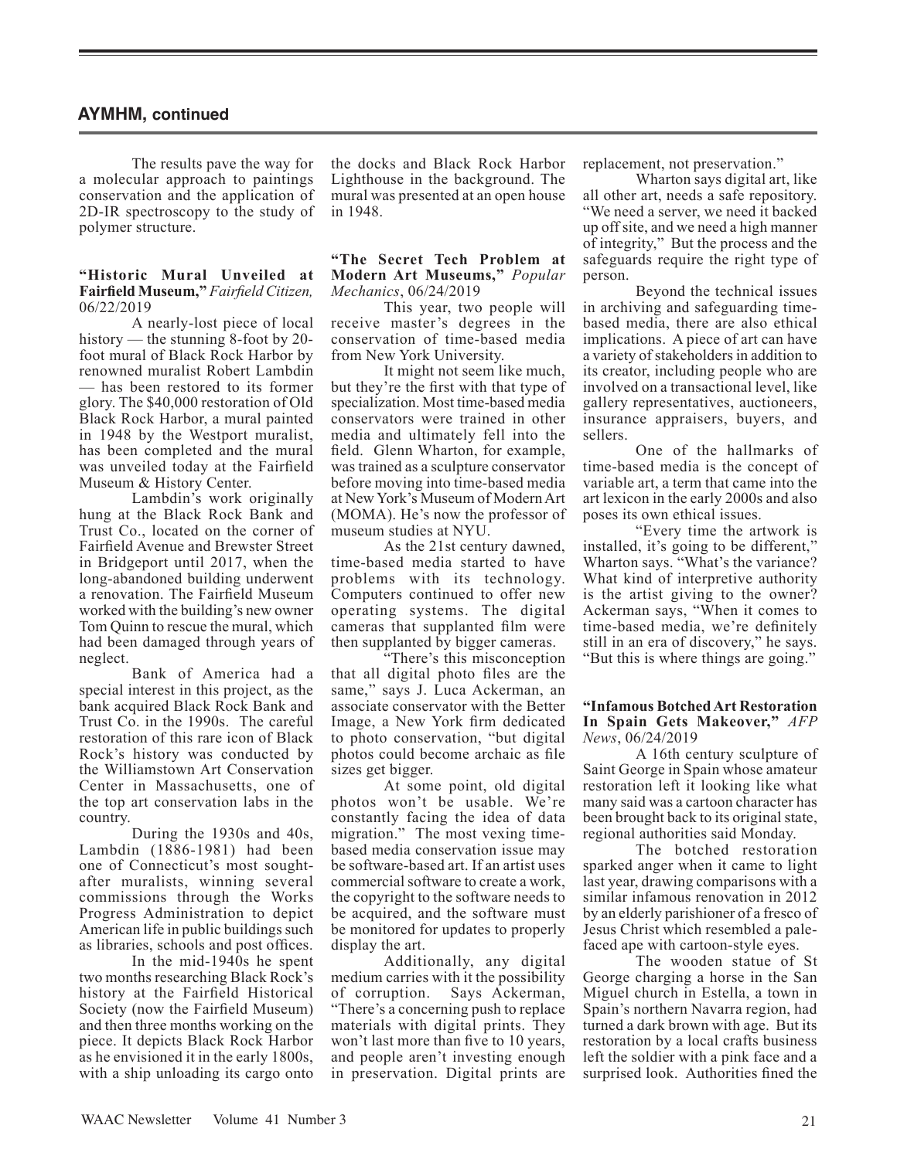The results pave the way for a molecular approach to paintings conservation and the application of 2D-IR spectroscopy to the study of polymer structure.

#### **"Historic Mural Unveiled at Fairfield Museum,"** *Fairfield Citizen,* 06/22/2019

A nearly-lost piece of local history — the stunning 8-foot by 20foot mural of Black Rock Harbor by renowned muralist Robert Lambdin — has been restored to its former glory. The \$40,000 restoration of Old Black Rock Harbor, a mural painted in 1948 by the Westport muralist, has been completed and the mural was unveiled today at the Fairfield Museum & History Center.

Lambdin's work originally hung at the Black Rock Bank and Trust Co., located on the corner of Fairfield Avenue and Brewster Street in Bridgeport until 2017, when the long-abandoned building underwent a renovation. The Fairfield Museum worked with the building's new owner Tom Quinn to rescue the mural, which had been damaged through years of neglect.

Bank of America had a special interest in this project, as the bank acquired Black Rock Bank and Trust Co. in the 1990s. The careful restoration of this rare icon of Black Rock's history was conducted by the Williamstown Art Conservation Center in Massachusetts, one of the top art conservation labs in the country.

During the 1930s and 40s, Lambdin (1886-1981) had been one of Connecticut's most soughtafter muralists, winning several commissions through the Works Progress Administration to depict American life in public buildings such as libraries, schools and post offices.

In the mid-1940s he spent two months researching Black Rock's history at the Fairfield Historical Society (now the Fairfield Museum) and then three months working on the piece. It depicts Black Rock Harbor as he envisioned it in the early 1800s, with a ship unloading its cargo onto

the docks and Black Rock Harbor Lighthouse in the background. The mural was presented at an open house in 1948.

#### **"The Secret Tech Problem at Modern Art Museums,"** *Popular Mechanics*, 06/24/2019

This year, two people will receive master's degrees in the conservation of time-based media from New York University.

It might not seem like much, but they're the first with that type of specialization. Most time-based media conservators were trained in other media and ultimately fell into the field. Glenn Wharton, for example, was trained as a sculpture conservator before moving into time-based media at New York's Museum of Modern Art (MOMA). He's now the professor of museum studies at NYU.

As the 21st century dawned, time-based media started to have problems with its technology. Computers continued to offer new operating systems. The digital cameras that supplanted film were then supplanted by bigger cameras.

"There's this misconception that all digital photo files are the same," says J. Luca Ackerman, an associate conservator with the Better Image, a New York firm dedicated to photo conservation, "but digital photos could become archaic as file sizes get bigger.

At some point, old digital photos won't be usable. We're constantly facing the idea of data migration." The most vexing timebased media conservation issue may be software-based art. If an artist uses commercial software to create a work, the copyright to the software needs to be acquired, and the software must be monitored for updates to properly display the art.

Additionally, any digital medium carries with it the possibility of corruption. Says Ackerman, "There's a concerning push to replace materials with digital prints. They won't last more than five to 10 years, and people aren't investing enough in preservation. Digital prints are replacement, not preservation."

Wharton says digital art, like all other art, needs a safe repository. "We need a server, we need it backed up off site, and we need a high manner of integrity," But the process and the safeguards require the right type of person.

Beyond the technical issues in archiving and safeguarding timebased media, there are also ethical implications. A piece of art can have a variety of stakeholders in addition to its creator, including people who are involved on a transactional level, like gallery representatives, auctioneers, insurance appraisers, buyers, and sellers.

One of the hallmarks of time-based media is the concept of variable art, a term that came into the art lexicon in the early 2000s and also poses its own ethical issues.

"Every time the artwork is installed, it's going to be different," Wharton says. "What's the variance? What kind of interpretive authority is the artist giving to the owner? Ackerman says, "When it comes to time-based media, we're definitely still in an era of discovery," he says. "But this is where things are going."

#### **"Infamous Botched Art Restoration In Spain Gets Makeover,"** *AFP News*, 06/24/2019

A 16th century sculpture of Saint George in Spain whose amateur restoration left it looking like what many said was a cartoon character has been brought back to its original state, regional authorities said Monday.

The botched restoration sparked anger when it came to light last year, drawing comparisons with a similar infamous renovation in 2012 by an elderly parishioner of a fresco of Jesus Christ which resembled a palefaced ape with cartoon-style eyes.

The wooden statue of St George charging a horse in the San Miguel church in Estella, a town in Spain's northern Navarra region, had turned a dark brown with age. But its restoration by a local crafts business left the soldier with a pink face and a surprised look. Authorities fined the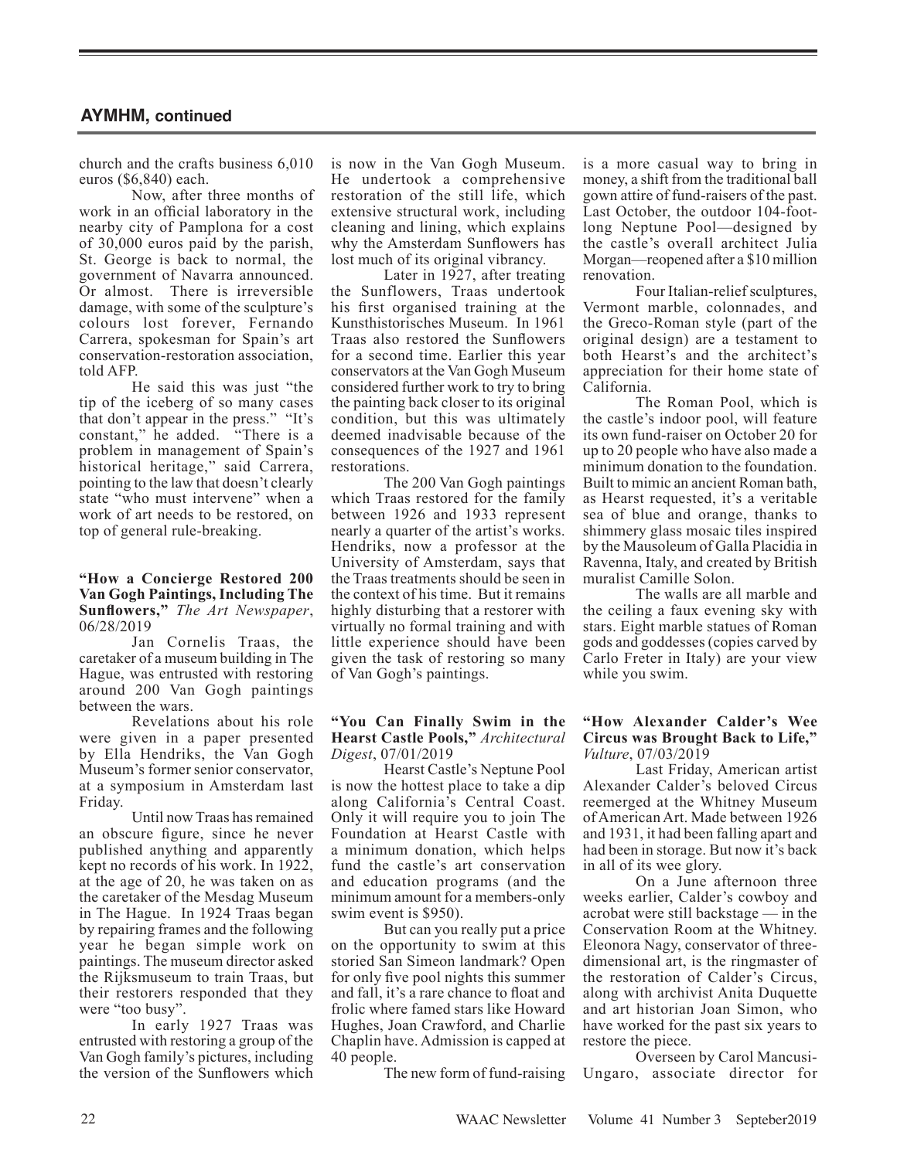church and the crafts business 6,010 euros (\$6,840) each.

Now, after three months of work in an official laboratory in the nearby city of Pamplona for a cost of 30,000 euros paid by the parish, St. George is back to normal, the government of Navarra announced. Or almost. There is irreversible damage, with some of the sculpture's colours lost forever, Fernando Carrera, spokesman for Spain's art conservation-restoration association, told AFP.

He said this was just "the tip of the iceberg of so many cases that don't appear in the press." "It's constant," he added. "There is a problem in management of Spain's historical heritage," said Carrera, pointing to the law that doesn't clearly state "who must intervene" when a work of art needs to be restored, on top of general rule-breaking.

#### **"How a Concierge Restored 200 Van Gogh Paintings, Including The Sunflowers,"** *The Art Newspaper*, 06/28/2019

Jan Cornelis Traas, the caretaker of a museum building in The Hague, was entrusted with restoring around 200 Van Gogh paintings between the wars.

Revelations about his role were given in a paper presented by Ella Hendriks, the Van Gogh Museum's former senior conservator, at a symposium in Amsterdam last Friday.

Until now Traas has remained an obscure figure, since he never published anything and apparently kept no records of his work. In 1922, at the age of 20, he was taken on as the caretaker of the Mesdag Museum in The Hague. In 1924 Traas began by repairing frames and the following year he began simple work on paintings. The museum director asked the Rijksmuseum to train Traas, but their restorers responded that they were "too busy".

In early 1927 Traas was entrusted with restoring a group of the Van Gogh family's pictures, including the version of the Sunflowers which

is now in the Van Gogh Museum. He undertook a comprehensive restoration of the still life, which extensive structural work, including cleaning and lining, which explains why the Amsterdam Sunflowers has lost much of its original vibrancy.

Later in 1927, after treating the Sunflowers, Traas undertook his first organised training at the Kunsthistorisches Museum. In 1961 Traas also restored the Sunflowers for a second time. Earlier this year conservators at the Van Gogh Museum considered further work to try to bring the painting back closer to its original condition, but this was ultimately deemed inadvisable because of the consequences of the 1927 and 1961 restorations.

The 200 Van Gogh paintings which Traas restored for the family between 1926 and 1933 represent nearly a quarter of the artist's works. Hendriks, now a professor at the University of Amsterdam, says that the Traas treatments should be seen in the context of his time. But it remains highly disturbing that a restorer with virtually no formal training and with little experience should have been given the task of restoring so many of Van Gogh's paintings.

#### **"You Can Finally Swim in the Hearst Castle Pools,"** *Architectural Digest*, 07/01/2019

Hearst Castle's Neptune Pool is now the hottest place to take a dip along California's Central Coast. Only it will require you to join The Foundation at Hearst Castle with a minimum donation, which helps fund the castle's art conservation and education programs (and the minimum amount for a members-only swim event is \$950).

But can you really put a price on the opportunity to swim at this storied San Simeon landmark? Open for only five pool nights this summer and fall, it's a rare chance to float and frolic where famed stars like Howard Hughes, Joan Crawford, and Charlie Chaplin have. Admission is capped at 40 people.

The new form of fund-raising

is a more casual way to bring in money, a shift from the traditional ball gown attire of fund-raisers of the past. Last October, the outdoor 104-footlong Neptune Pool—designed by the castle's overall architect Julia Morgan—reopened after a \$10 million renovation.

Four Italian-relief sculptures, Vermont marble, colonnades, and the Greco-Roman style (part of the original design) are a testament to both Hearst's and the architect's appreciation for their home state of California.

The Roman Pool, which is the castle's indoor pool, will feature its own fund-raiser on October 20 for up to 20 people who have also made a minimum donation to the foundation. Built to mimic an ancient Roman bath, as Hearst requested, it's a veritable sea of blue and orange, thanks to shimmery glass mosaic tiles inspired by the Mausoleum of Galla Placidia in Ravenna, Italy, and created by British muralist Camille Solon.

The walls are all marble and the ceiling a faux evening sky with stars. Eight marble statues of Roman gods and goddesses (copies carved by Carlo Freter in Italy) are your view while you swim.

#### **"How Alexander Calder's Wee Circus was Brought Back to Life,"** *Vulture*, 07/03/2019

Last Friday, American artist Alexander Calder's beloved Circus reemerged at the Whitney Museum of American Art. Made between 1926 and 1931, it had been falling apart and had been in storage. But now it's back in all of its wee glory.

On a June afternoon three weeks earlier, Calder's cowboy and acrobat were still backstage — in the Conservation Room at the Whitney. Eleonora Nagy, conservator of threedimensional art, is the ringmaster of the restoration of Calder's Circus, along with archivist Anita Duquette and art historian Joan Simon, who have worked for the past six years to restore the piece.

Overseen by Carol Mancusi-Ungaro, associate director for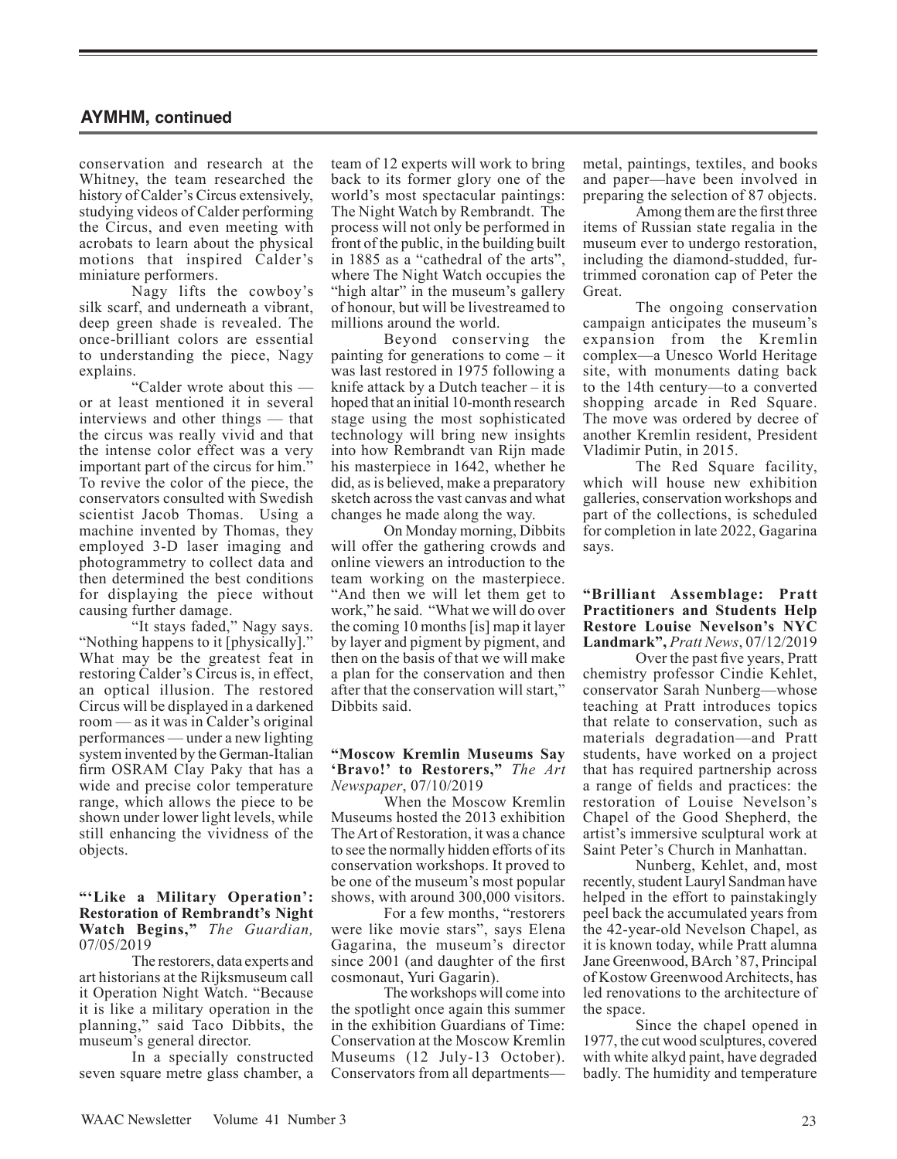conservation and research at the Whitney, the team researched the history of Calder's Circus extensively, studying videos of Calder performing the Circus, and even meeting with acrobats to learn about the physical motions that inspired Calder's miniature performers.

Nagy lifts the cowboy's silk scarf, and underneath a vibrant, deep green shade is revealed. The once-brilliant colors are essential to understanding the piece, Nagy explains.

"Calder wrote about this or at least mentioned it in several interviews and other things — that the circus was really vivid and that the intense color effect was a very important part of the circus for him." To revive the color of the piece, the conservators consulted with Swedish scientist Jacob Thomas. Using a machine invented by Thomas, they employed 3-D laser imaging and photogrammetry to collect data and then determined the best conditions for displaying the piece without causing further damage.

"It stays faded," Nagy says. "Nothing happens to it [physically]." What may be the greatest feat in restoring Calder's Circus is, in effect, an optical illusion. The restored Circus will be displayed in a darkened room — as it was in Calder's original performances — under a new lighting system invented by the German-Italian firm OSRAM Clay Paky that has a wide and precise color temperature range, which allows the piece to be shown under lower light levels, while still enhancing the vividness of the objects.

### **"'Like a Military Operation': Restoration of Rembrandt's Night Watch Begins,"** *The Guardian,* 07/05/2019

The restorers, data experts and art historians at the Rijksmuseum call it Operation Night Watch. "Because it is like a military operation in the planning," said Taco Dibbits, the museum's general director.

In a specially constructed seven square metre glass chamber, a

team of 12 experts will work to bring back to its former glory one of the world's most spectacular paintings: The Night Watch by Rembrandt. The process will not only be performed in front of the public, in the building built in 1885 as a "cathedral of the arts", where The Night Watch occupies the "high altar" in the museum's gallery of honour, but will be livestreamed to millions around the world.

Beyond conserving the painting for generations to come – it was last restored in 1975 following a knife attack by a Dutch teacher – it is hoped that an initial 10-month research stage using the most sophisticated technology will bring new insights into how Rembrandt van Rijn made his masterpiece in 1642, whether he did, as is believed, make a preparatory sketch across the vast canvas and what changes he made along the way.

On Monday morning, Dibbits will offer the gathering crowds and online viewers an introduction to the team working on the masterpiece. "And then we will let them get to work," he said. "What we will do over the coming 10 months [is] map it layer by layer and pigment by pigment, and then on the basis of that we will make a plan for the conservation and then after that the conservation will start," Dibbits said.

#### **"Moscow Kremlin Museums Say 'Bravo!' to Restorers,"** *The Art Newspaper*, 07/10/2019

When the Moscow Kremlin Museums hosted the 2013 exhibition The Art of Restoration, it was a chance to see the normally hidden efforts of its conservation workshops. It proved to be one of the museum's most popular shows, with around 300,000 visitors.

For a few months, "restorers were like movie stars", says Elena Gagarina, the museum's director since 2001 (and daughter of the first cosmonaut, Yuri Gagarin).

The workshops will come into the spotlight once again this summer in the exhibition Guardians of Time: Conservation at the Moscow Kremlin Museums (12 July-13 October). Conservators from all departmentsmetal, paintings, textiles, and books and paper—have been involved in preparing the selection of 87 objects.

Among them are the first three items of Russian state regalia in the museum ever to undergo restoration, including the diamond-studded, furtrimmed coronation cap of Peter the Great.

The ongoing conservation campaign anticipates the museum's expansion from the Kremlin complex—a Unesco World Heritage site, with monuments dating back to the 14th century—to a converted shopping arcade in Red Square. The move was ordered by decree of another Kremlin resident, President Vladimir Putin, in 2015.

The Red Square facility, which will house new exhibition galleries, conservation workshops and part of the collections, is scheduled for completion in late 2022, Gagarina says.

#### **"Brilliant Assemblage: Pratt Practitioners and Students Help Restore Louise Nevelson's NYC Landmark",** *Pratt News*, 07/12/2019

Over the past five years, Pratt chemistry professor Cindie Kehlet, conservator Sarah Nunberg—whose teaching at Pratt introduces topics that relate to conservation, such as materials degradation—and Pratt students, have worked on a project that has required partnership across a range of fields and practices: the restoration of Louise Nevelson's Chapel of the Good Shepherd, the artist's immersive sculptural work at Saint Peter's Church in Manhattan.

Nunberg, Kehlet, and, most recently, student Lauryl Sandman have helped in the effort to painstakingly peel back the accumulated years from the 42-year-old Nevelson Chapel, as it is known today, while Pratt alumna Jane Greenwood, BArch '87, Principal of Kostow Greenwood Architects, has led renovations to the architecture of the space.

Since the chapel opened in 1977, the cut wood sculptures, covered with white alkyd paint, have degraded badly. The humidity and temperature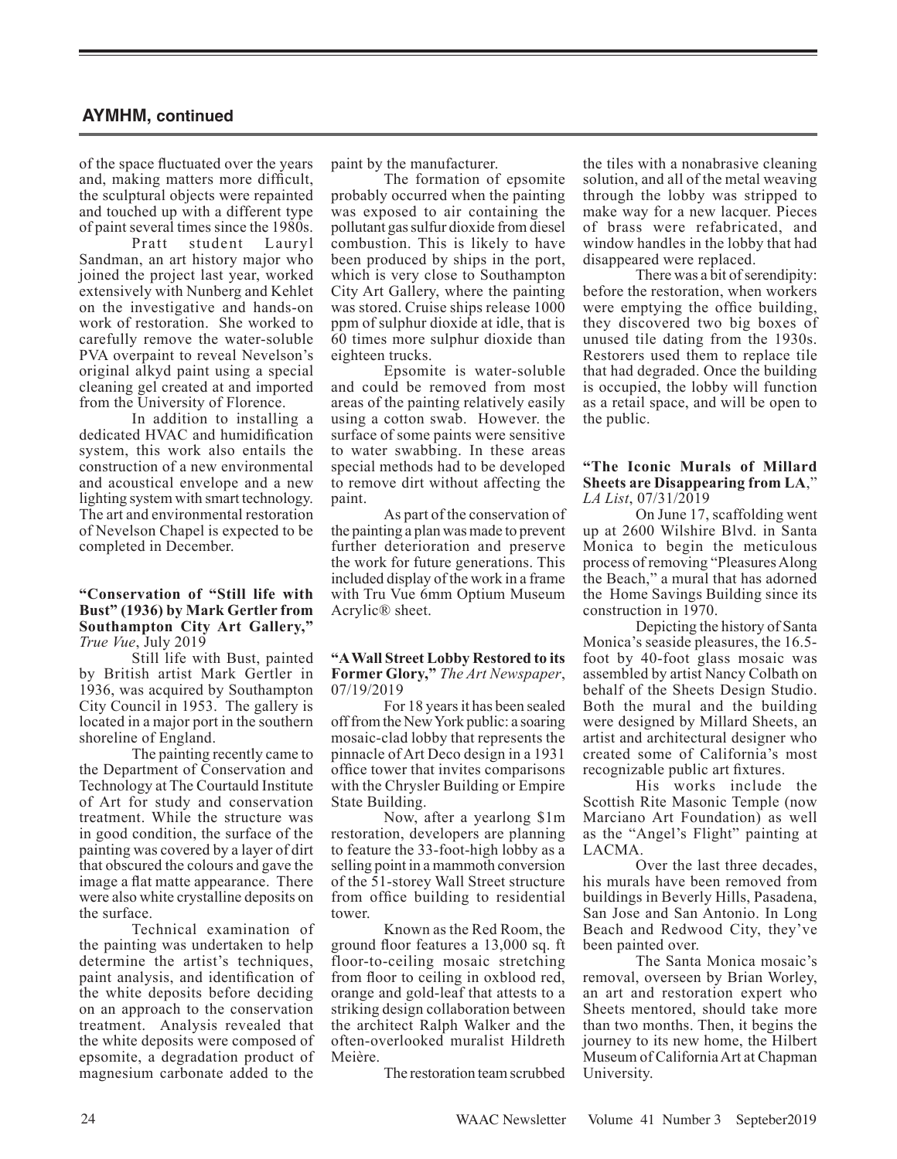of the space fluctuated over the years and, making matters more difficult, the sculptural objects were repainted and touched up with a different type of paint several times since the 1980s. Pratt student Lauryl Sandman, an art history major who joined the project last year, worked extensively with Nunberg and Kehlet on the investigative and hands-on work of restoration. She worked to carefully remove the water-soluble PVA overpaint to reveal Nevelson's original alkyd paint using a special cleaning gel created at and imported from the University of Florence.

In addition to installing a dedicated HVAC and humidification system, this work also entails the construction of a new environmental and acoustical envelope and a new lighting system with smart technology. The art and environmental restoration of Nevelson Chapel is expected to be completed in December.

#### **"Conservation of "Still life with Bust" (1936) by Mark Gertler from Southampton City Art Gallery,"** *True Vue*, July 2019

Still life with Bust, painted by British artist Mark Gertler in 1936, was acquired by Southampton City Council in 1953. The gallery is located in a major port in the southern shoreline of England.

The painting recently came to the Department of Conservation and Technology at The Courtauld Institute of Art for study and conservation treatment. While the structure was in good condition, the surface of the painting was covered by a layer of dirt that obscured the colours and gave the image a flat matte appearance. There were also white crystalline deposits on the surface.

Technical examination of the painting was undertaken to help determine the artist's techniques, paint analysis, and identification of the white deposits before deciding on an approach to the conservation treatment. Analysis revealed that the white deposits were composed of epsomite, a degradation product of magnesium carbonate added to the

paint by the manufacturer.

The formation of epsomite probably occurred when the painting was exposed to air containing the pollutant gas sulfur dioxide from diesel combustion. This is likely to have been produced by ships in the port, which is very close to Southampton City Art Gallery, where the painting was stored. Cruise ships release 1000 ppm of sulphur dioxide at idle, that is 60 times more sulphur dioxide than eighteen trucks.

Epsomite is water-soluble and could be removed from most areas of the painting relatively easily using a cotton swab. However. the surface of some paints were sensitive to water swabbing. In these areas special methods had to be developed to remove dirt without affecting the paint.

As part of the conservation of the painting a plan was made to prevent further deterioration and preserve the work for future generations. This included display of the work in a frame with Tru Vue 6mm Optium Museum Acrylic® sheet.

#### **"A Wall Street Lobby Restored to its Former Glory,"** *The Art Newspaper*, 07/19/2019

For 18 years it has been sealed off from the New York public: a soaring mosaic-clad lobby that represents the pinnacle of Art Deco design in a 1931 office tower that invites comparisons with the Chrysler Building or Empire State Building.

Now, after a yearlong \$1m restoration, developers are planning to feature the 33-foot-high lobby as a selling point in a mammoth conversion of the 51-storey Wall Street structure from office building to residential tower.

Known as the Red Room, the ground floor features a 13,000 sq. ft floor-to-ceiling mosaic stretching from floor to ceiling in oxblood red, orange and gold-leaf that attests to a striking design collaboration between the architect Ralph Walker and the often-overlooked muralist Hildreth Meière.

The restoration team scrubbed

the tiles with a nonabrasive cleaning solution, and all of the metal weaving through the lobby was stripped to make way for a new lacquer. Pieces of brass were refabricated, and window handles in the lobby that had disappeared were replaced.

There was a bit of serendipity: before the restoration, when workers were emptying the office building, they discovered two big boxes of unused tile dating from the 1930s. Restorers used them to replace tile that had degraded. Once the building is occupied, the lobby will function as a retail space, and will be open to the public.

#### **"The Iconic Murals of Millard Sheets are Disappearing from LA**," *LA List*, 07/31/2019

On June 17, scaffolding went up at 2600 Wilshire Blvd. in Santa Monica to begin the meticulous process of removing "Pleasures Along the Beach," a mural that has adorned the Home Savings Building since its construction in 1970.

Depicting the history of Santa Monica's seaside pleasures, the 16.5 foot by 40-foot glass mosaic was assembled by artist Nancy Colbath on behalf of the Sheets Design Studio. Both the mural and the building were designed by Millard Sheets, an artist and architectural designer who created some of California's most recognizable public art fixtures.

His works include the Scottish Rite Masonic Temple (now Marciano Art Foundation) as well as the "Angel's Flight" painting at LACMA.

Over the last three decades, his murals have been removed from buildings in Beverly Hills, Pasadena, San Jose and San Antonio. In Long Beach and Redwood City, they've been painted over.

The Santa Monica mosaic's removal, overseen by Brian Worley, an art and restoration expert who Sheets mentored, should take more than two months. Then, it begins the journey to its new home, the Hilbert Museum of California Art at Chapman University.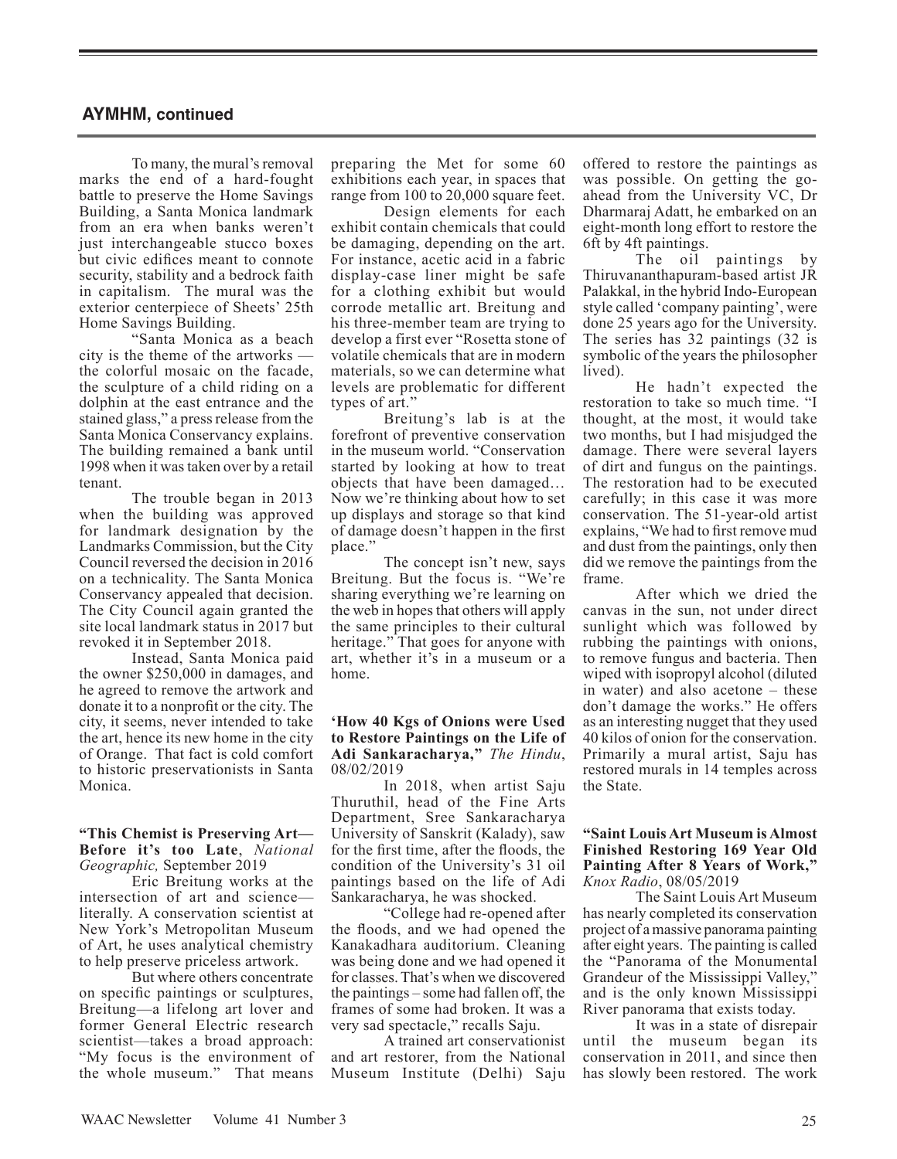To many, the mural's removal marks the end of a hard-fought battle to preserve the Home Savings Building, a Santa Monica landmark from an era when banks weren't just interchangeable stucco boxes but civic edifices meant to connote security, stability and a bedrock faith in capitalism. The mural was the exterior centerpiece of Sheets' 25th Home Savings Building.

"Santa Monica as a beach city is the theme of the artworks the colorful mosaic on the facade, the sculpture of a child riding on a dolphin at the east entrance and the stained glass," a press release from the Santa Monica Conservancy explains. The building remained a bank until 1998 when it was taken over by a retail tenant.

The trouble began in 2013 when the building was approved for landmark designation by the Landmarks Commission, but the City Council reversed the decision in 2016 on a technicality. The Santa Monica Conservancy appealed that decision. The City Council again granted the site local landmark status in 2017 but revoked it in September 2018.

Instead, Santa Monica paid the owner \$250,000 in damages, and he agreed to remove the artwork and donate it to a nonprofit or the city. The city, it seems, never intended to take the art, hence its new home in the city of Orange. That fact is cold comfort to historic preservationists in Santa Monica.

#### **"This Chemist is Preserving Art— Before it's too Late**, *National Geographic,* September 2019

Eric Breitung works at the intersection of art and science literally. A conservation scientist at New York's Metropolitan Museum of Art, he uses analytical chemistry to help preserve priceless artwork.

But where others concentrate on specific paintings or sculptures, Breitung—a lifelong art lover and former General Electric research scientist—takes a broad approach: "My focus is the environment of the whole museum." That means preparing the Met for some 60 exhibitions each year, in spaces that range from 100 to 20,000 square feet.

Design elements for each exhibit contain chemicals that could be damaging, depending on the art. For instance, acetic acid in a fabric display-case liner might be safe for a clothing exhibit but would corrode metallic art. Breitung and his three-member team are trying to develop a first ever "Rosetta stone of volatile chemicals that are in modern materials, so we can determine what levels are problematic for different types of art."

Breitung's lab is at the forefront of preventive conservation in the museum world. "Conservation started by looking at how to treat objects that have been damaged… Now we're thinking about how to set up displays and storage so that kind of damage doesn't happen in the first place."

The concept isn't new, says Breitung. But the focus is. "We're sharing everything we're learning on the web in hopes that others will apply the same principles to their cultural heritage." That goes for anyone with art, whether it's in a museum or a home.

#### **'How 40 Kgs of Onions were Used to Restore Paintings on the Life of Adi Sankaracharya,"** *The Hindu*, 08/02/2019

In 2018, when artist Saju Thuruthil, head of the Fine Arts Department, Sree Sankaracharya University of Sanskrit (Kalady), saw for the first time, after the floods, the condition of the University's 31 oil paintings based on the life of Adi Sankaracharya, he was shocked.

"College had re-opened after the floods, and we had opened the Kanakadhara auditorium. Cleaning was being done and we had opened it for classes. That's when we discovered the paintings – some had fallen off, the frames of some had broken. It was a very sad spectacle," recalls Saju.

A trained art conservationist and art restorer, from the National Museum Institute (Delhi) Saju offered to restore the paintings as was possible. On getting the goahead from the University VC, Dr Dharmaraj Adatt, he embarked on an eight-month long effort to restore the 6ft by 4ft paintings.

The oil paintings by Thiruvananthapuram-based artist JR Palakkal, in the hybrid Indo-European style called 'company painting', were done 25 years ago for the University. The series has 32 paintings (32 is symbolic of the years the philosopher lived).

He hadn't expected the restoration to take so much time. "I thought, at the most, it would take two months, but I had misjudged the damage. There were several layers of dirt and fungus on the paintings. The restoration had to be executed carefully; in this case it was more conservation. The 51-year-old artist explains, "We had to first remove mud and dust from the paintings, only then did we remove the paintings from the frame.

After which we dried the canvas in the sun, not under direct sunlight which was followed by rubbing the paintings with onions, to remove fungus and bacteria. Then wiped with isopropyl alcohol (diluted in water) and also acetone – these don't damage the works." He offers as an interesting nugget that they used 40 kilos of onion for the conservation. Primarily a mural artist, Saju has restored murals in 14 temples across the State.

#### **"Saint Louis Art Museum is Almost Finished Restoring 169 Year Old Painting After 8 Years of Work,"** *Knox Radio*, 08/05/2019

The Saint Louis Art Museum has nearly completed its conservation project of a massive panorama painting after eight years. The painting is called the "Panorama of the Monumental Grandeur of the Mississippi Valley," and is the only known Mississippi River panorama that exists today.

It was in a state of disrepair until the museum began its conservation in 2011, and since then has slowly been restored. The work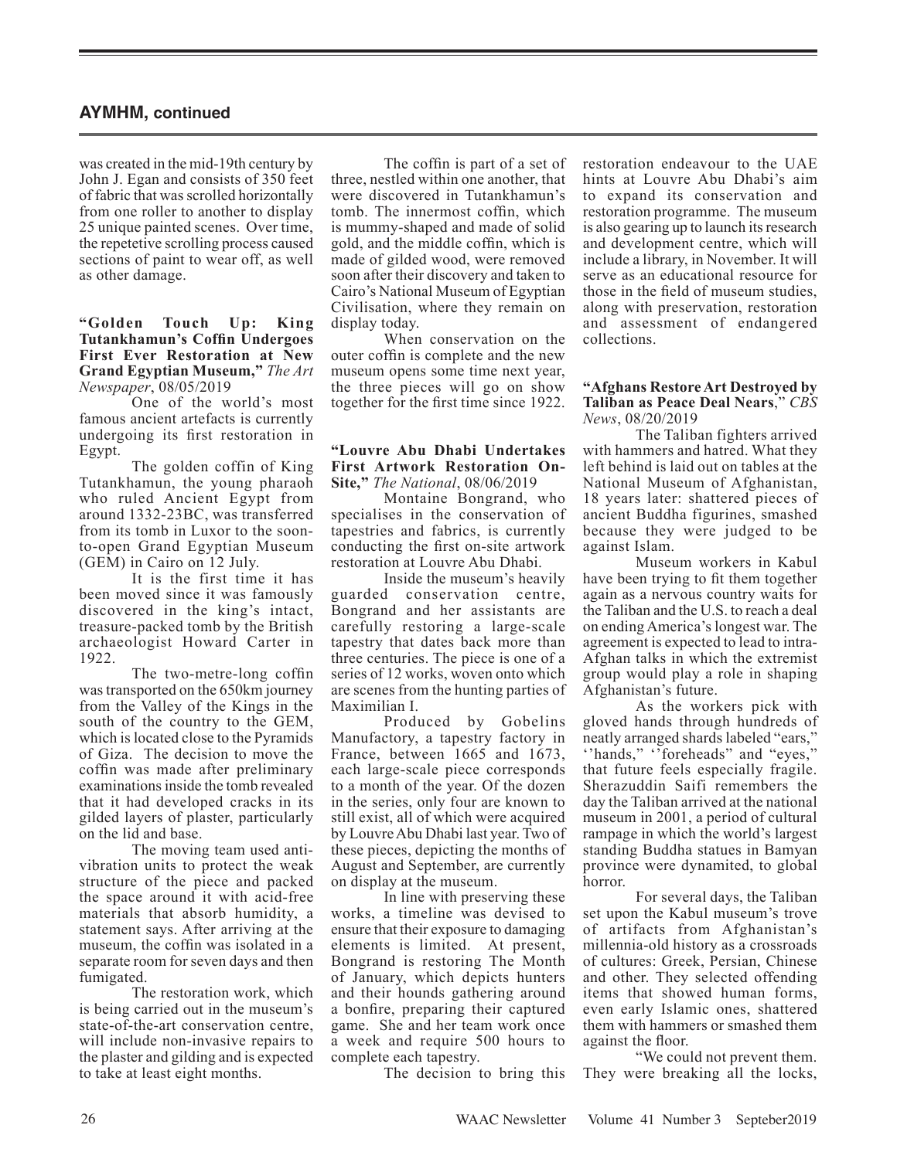was created in the mid-19th century by John J. Egan and consists of 350 feet of fabric that was scrolled horizontally from one roller to another to display 25 unique painted scenes. Over time, the repetetive scrolling process caused sections of paint to wear off, as well as other damage.

**"Golden Touch Up: King Tutankhamun's Coffin Undergoes First Ever Restoration at New Grand Egyptian Museum,"** *The Art Newspaper*, 08/05/2019

One of the world's most famous ancient artefacts is currently undergoing its first restoration in Egypt.

The golden coffin of King Tutankhamun, the young pharaoh who ruled Ancient Egypt from around 1332-23BC, was transferred from its tomb in Luxor to the soonto-open Grand Egyptian Museum (GEM) in Cairo on 12 July.

It is the first time it has been moved since it was famously discovered in the king's intact, treasure-packed tomb by the British archaeologist Howard Carter in 1922.

The two-metre-long coffin was transported on the 650km journey from the Valley of the Kings in the south of the country to the GEM, which is located close to the Pyramids of Giza. The decision to move the coffin was made after preliminary examinations inside the tomb revealed that it had developed cracks in its gilded layers of plaster, particularly on the lid and base.

The moving team used antivibration units to protect the weak structure of the piece and packed the space around it with acid-free materials that absorb humidity, a statement says. After arriving at the museum, the coffin was isolated in a separate room for seven days and then fumigated.

The restoration work, which is being carried out in the museum's state-of-the-art conservation centre, will include non-invasive repairs to the plaster and gilding and is expected to take at least eight months.

The coffin is part of a set of three, nestled within one another, that were discovered in Tutankhamun's tomb. The innermost coffin, which is mummy-shaped and made of solid gold, and the middle coffin, which is made of gilded wood, were removed soon after their discovery and taken to Cairo's National Museum of Egyptian Civilisation, where they remain on display today.

When conservation on the outer coffin is complete and the new museum opens some time next year, the three pieces will go on show together for the first time since 1922.

#### **"Louvre Abu Dhabi Undertakes First Artwork Restoration On-Site,"** *The National*, 08/06/2019

Montaine Bongrand, who specialises in the conservation of tapestries and fabrics, is currently conducting the first on-site artwork restoration at Louvre Abu Dhabi.

Inside the museum's heavily guarded conservation centre, Bongrand and her assistants are carefully restoring a large-scale tapestry that dates back more than three centuries. The piece is one of a series of 12 works, woven onto which are scenes from the hunting parties of Maximilian I.

Produced by Gobelins Manufactory, a tapestry factory in France, between 1665 and 1673, each large-scale piece corresponds to a month of the year. Of the dozen in the series, only four are known to still exist, all of which were acquired by Louvre Abu Dhabi last year. Two of these pieces, depicting the months of August and September, are currently on display at the museum.

In line with preserving these works, a timeline was devised to ensure that their exposure to damaging elements is limited. At present, Bongrand is restoring The Month of January, which depicts hunters and their hounds gathering around a bonfire, preparing their captured game. She and her team work once a week and require 500 hours to complete each tapestry.

The decision to bring this

restoration endeavour to the UAE hints at Louvre Abu Dhabi's aim to expand its conservation and restoration programme. The museum is also gearing up to launch its research and development centre, which will include a library, in November. It will serve as an educational resource for those in the field of museum studies, along with preservation, restoration and assessment of endangered collections.

#### **"Afghans Restore Art Destroyed by Taliban as Peace Deal Nears**," *CBS News*, 08/20/2019

The Taliban fighters arrived with hammers and hatred. What they left behind is laid out on tables at the National Museum of Afghanistan, 18 years later: shattered pieces of ancient Buddha figurines, smashed because they were judged to be against Islam.

Museum workers in Kabul have been trying to fit them together again as a nervous country waits for the Taliban and the U.S. to reach a deal on ending America's longest war. The agreement is expected to lead to intra-Afghan talks in which the extremist group would play a role in shaping Afghanistan's future.

As the workers pick with gloved hands through hundreds of neatly arranged shards labeled "ears," "hands," "foreheads" and "eyes," that future feels especially fragile. Sherazuddin Saifi remembers the day the Taliban arrived at the national museum in 2001, a period of cultural rampage in which the world's largest standing Buddha statues in Bamyan province were dynamited, to global horror.

For several days, the Taliban set upon the Kabul museum's trove of artifacts from Afghanistan's millennia-old history as a crossroads of cultures: Greek, Persian, Chinese and other. They selected offending items that showed human forms, even early Islamic ones, shattered them with hammers or smashed them against the floor.

"We could not prevent them. They were breaking all the locks,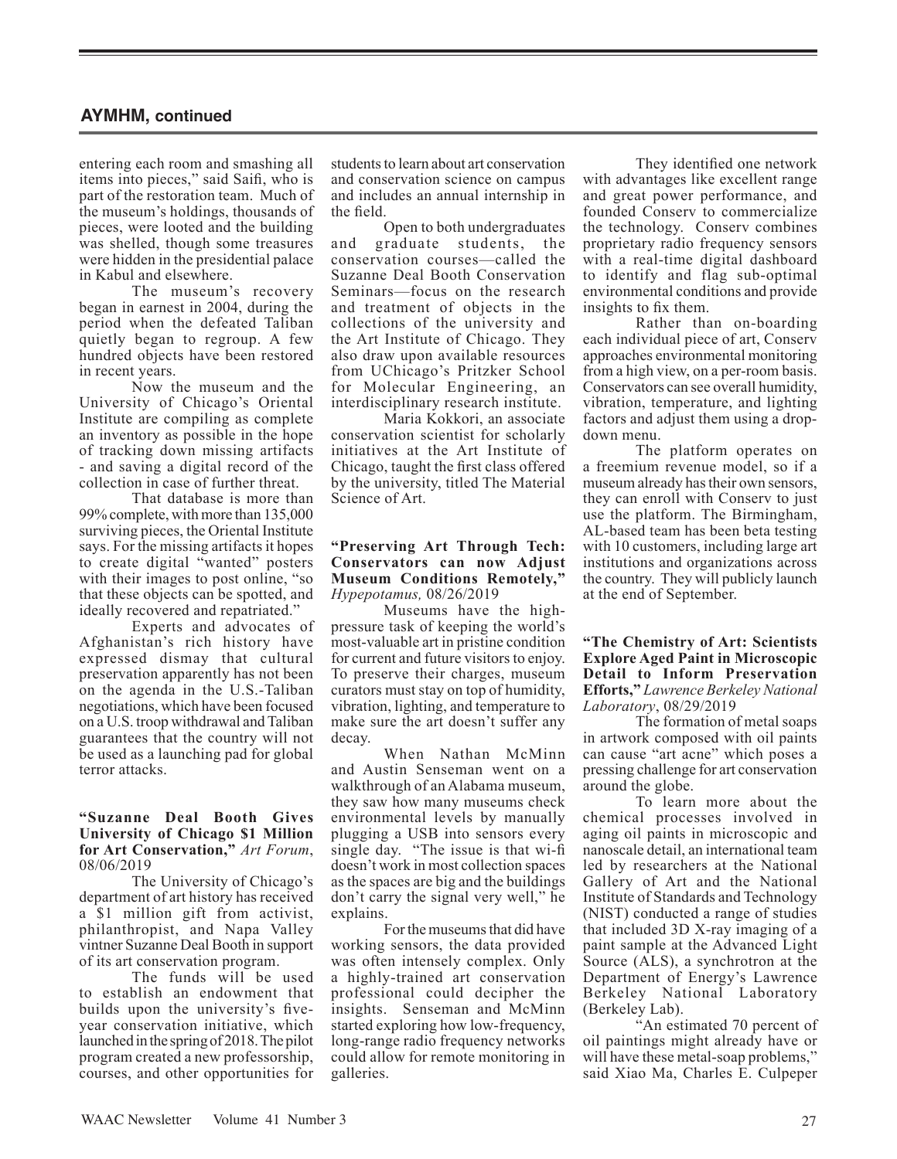entering each room and smashing all items into pieces," said Saifi, who is part of the restoration team. Much of the museum's holdings, thousands of pieces, were looted and the building was shelled, though some treasures were hidden in the presidential palace in Kabul and elsewhere.

The museum's recovery began in earnest in 2004, during the period when the defeated Taliban quietly began to regroup. A few hundred objects have been restored in recent years.

Now the museum and the University of Chicago's Oriental Institute are compiling as complete an inventory as possible in the hope of tracking down missing artifacts - and saving a digital record of the collection in case of further threat.

That database is more than 99% complete, with more than 135,000 surviving pieces, the Oriental Institute says. For the missing artifacts it hopes to create digital "wanted" posters with their images to post online, "so that these objects can be spotted, and ideally recovered and repatriated."

Experts and advocates of Afghanistan's rich history have expressed dismay that cultural preservation apparently has not been on the agenda in the U.S.-Taliban negotiations, which have been focused on a U.S. troop withdrawal and Taliban guarantees that the country will not be used as a launching pad for global terror attacks.

#### **"Suzanne Deal Booth Gives University of Chicago \$1 Million for Art Conservation,"** *Art Forum*, 08/06/2019

The University of Chicago's department of art history has received a \$1 million gift from activist, philanthropist, and Napa Valley vintner Suzanne Deal Booth in support of its art conservation program.

The funds will be used to establish an endowment that builds upon the university's fiveyear conservation initiative, which launched in the spring of 2018. The pilot program created a new professorship, courses, and other opportunities for

students to learn about art conservation and conservation science on campus and includes an annual internship in the field.

Open to both undergraduates and graduate students, the conservation courses—called the Suzanne Deal Booth Conservation Seminars—focus on the research and treatment of objects in the collections of the university and the Art Institute of Chicago. They also draw upon available resources from UChicago's Pritzker School for Molecular Engineering, an interdisciplinary research institute.

Maria Kokkori, an associate conservation scientist for scholarly initiatives at the Art Institute of Chicago, taught the first class offered by the university, titled The Material Science of Art.

#### **"Preserving Art Through Tech: Conservators can now Adjust Museum Conditions Remotely,"** *Hypepotamus,* 08/26/2019

Museums have the highpressure task of keeping the world's most-valuable art in pristine condition for current and future visitors to enjoy. To preserve their charges, museum curators must stay on top of humidity, vibration, lighting, and temperature to make sure the art doesn't suffer any decay.

When Nathan McMinn and Austin Senseman went on a walkthrough of an Alabama museum, they saw how many museums check environmental levels by manually plugging a USB into sensors every single day. "The issue is that wi-fi doesn't work in most collection spaces as the spaces are big and the buildings don't carry the signal very well," he explains.

For the museums that did have working sensors, the data provided was often intensely complex. Only a highly-trained art conservation professional could decipher the insights. Senseman and McMinn started exploring how low-frequency, long-range radio frequency networks could allow for remote monitoring in galleries.

They identified one network with advantages like excellent range and great power performance, and founded Conserv to commercialize the technology. Conserv combines proprietary radio frequency sensors with a real-time digital dashboard to identify and flag sub-optimal environmental conditions and provide insights to fix them.

Rather than on-boarding each individual piece of art, Conserv approaches environmental monitoring from a high view, on a per-room basis. Conservators can see overall humidity, vibration, temperature, and lighting factors and adjust them using a dropdown menu.

The platform operates on a freemium revenue model, so if a museum already has their own sensors, they can enroll with Conserv to just use the platform. The Birmingham, AL-based team has been beta testing with 10 customers, including large art institutions and organizations across the country. They will publicly launch at the end of September.

#### **"The Chemistry of Art: Scientists Explore Aged Paint in Microscopic Detail to Inform Preservation Efforts,"** *Lawrence Berkeley National Laboratory*, 08/29/2019

The formation of metal soaps in artwork composed with oil paints can cause "art acne" which poses a pressing challenge for art conservation around the globe.

To learn more about the chemical processes involved in aging oil paints in microscopic and nanoscale detail, an international team led by researchers at the National Gallery of Art and the National Institute of Standards and Technology (NIST) conducted a range of studies that included 3D X-ray imaging of a paint sample at the Advanced Light Source (ALS), a synchrotron at the Department of Energy's Lawrence Berkeley National Laboratory (Berkeley Lab).

"An estimated 70 percent of oil paintings might already have or will have these metal-soap problems," said Xiao Ma, Charles E. Culpeper